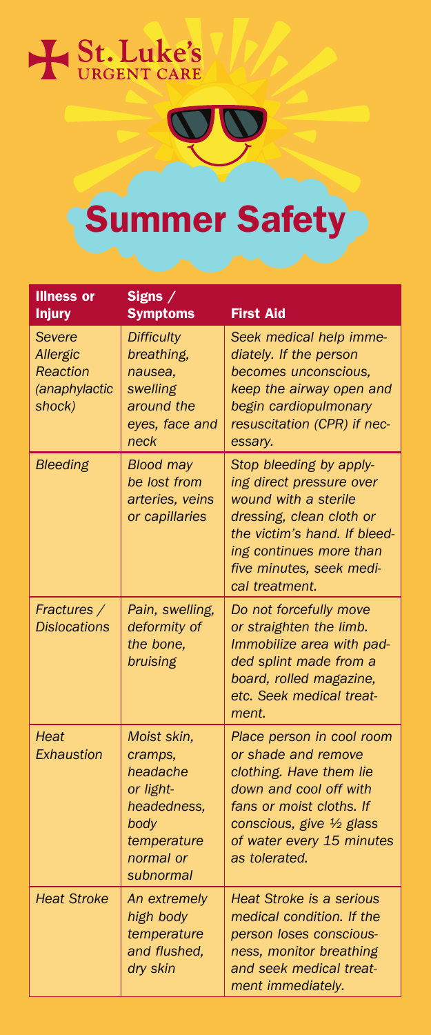



# Summer Safety

| <b>Illness or</b><br><b>Injury</b>                        | Signs $/$<br><b>Symptoms</b>                                                                                    | <b>First Aid</b>                                                                                                                                                                                                 |
|-----------------------------------------------------------|-----------------------------------------------------------------------------------------------------------------|------------------------------------------------------------------------------------------------------------------------------------------------------------------------------------------------------------------|
| Severe<br>Allergic<br>Reaction<br>(anaphylactic<br>shock) | <b>Difficulty</b><br>breathing,<br>nausea,<br>swelling<br>around the<br>eyes, face and<br>neck                  | Seek medical help imme-<br>diately. If the person<br>becomes unconscious,<br>keep the airway open and<br>begin cardiopulmonary<br>resuscitation (CPR) if nec-<br>essary.                                         |
| <b>Bleeding</b>                                           | <b>Blood may</b><br>be lost from<br>arteries, veins<br>or capillaries                                           | Stop bleeding by apply-<br>ing direct pressure over<br>wound with a sterile<br>dressing, clean cloth or<br>the victim's hand. If bleed-<br>ing continues more than<br>five minutes, seek medi-<br>cal treatment. |
| Fractures /<br><b>Dislocations</b>                        | Pain, swelling,<br>deformity of<br>the bone.<br>bruising                                                        | Do not forcefully move<br>or straighten the limb.<br>Immobilize area with pad-<br>ded splint made from a<br>board, rolled magazine,<br>etc. Seek medical treat-<br>ment.                                         |
| <b>Heat</b><br>Exhaustion                                 | Moist skin,<br>cramps.<br>headache<br>or light-<br>headedness.<br>body<br>temperature<br>normal or<br>subnormal | Place person in cool room<br>or shade and remove<br>clothing. Have them lie<br>down and cool off with<br>fans or moist cloths. If<br>conscious, give 1/2 glass<br>of water every 15 minutes<br>as tolerated.     |
| <b>Heat Stroke</b>                                        | An extremely<br>high body<br>temperature<br>and flushed.<br>dry skin                                            | <b>Heat Stroke is a serious</b><br>medical condition. If the<br>person loses conscious-<br>ness, monitor breathing<br>and seek medical treat-<br>ment immediately.                                               |